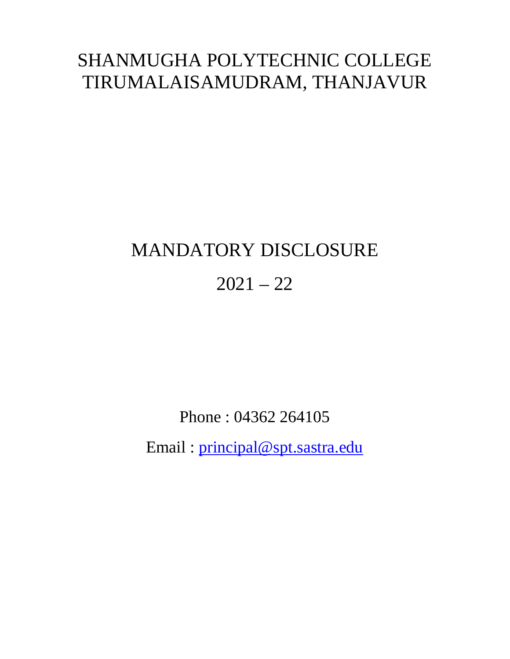# SHANMUGHA POLYTECHNIC COLLEGE TIRUMALAISAMUDRAM, THANJAVUR

# MANDATORY DISCLOSURE  $2021 - 22$

Phone : 04362 264105

Email : principal@spt.sastra.edu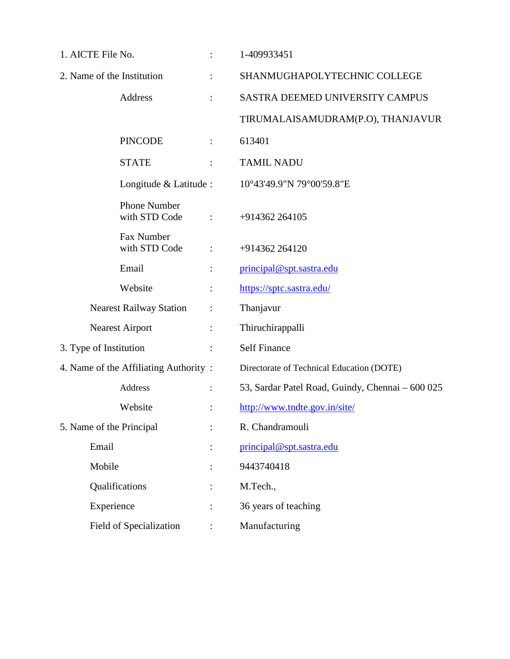| 1. AICTE File No.                     | $\ddot{\cdot}$       | 1-409933451                                      |
|---------------------------------------|----------------------|--------------------------------------------------|
| 2. Name of the Institution            | $\ddot{\cdot}$       | SHANMUGHAPOLYTECHNIC COLLEGE                     |
| Address                               | $\ddot{\cdot}$       | SASTRA DEEMED UNIVERSITY CAMPUS                  |
|                                       |                      | TIRUMALAISAMUDRAM(P.O), THANJAVUR                |
| <b>PINCODE</b>                        | $\ddot{\phantom{a}}$ | 613401                                           |
| <b>STATE</b>                          |                      | <b>TAMIL NADU</b>                                |
| Longitude & Latitude :                |                      | 10°43'49.9"N 79°00'59.8"E                        |
| <b>Phone Number</b><br>with STD Code  | $\ddot{\cdot}$       | +914362 264105                                   |
| Fax Number<br>with STD Code           | $\ddot{\phantom{a}}$ | +914362 264120                                   |
| Email                                 | $\vdots$             | principal@spt.sastra.edu                         |
| Website                               | $\vdots$             | https://sptc.sastra.edu/                         |
| <b>Nearest Railway Station</b>        | $\ddot{\cdot}$       | Thanjavur                                        |
| <b>Nearest Airport</b>                | $\vdots$             | Thiruchirappalli                                 |
| 3. Type of Institution                | $\ddot{\phantom{a}}$ | <b>Self Finance</b>                              |
| 4. Name of the Affiliating Authority: |                      | Directorate of Technical Education (DOTE)        |
| Address                               | $\ddot{\cdot}$       | 53, Sardar Patel Road, Guindy, Chennai - 600 025 |
| Website                               |                      | http://www.tndte.gov.in/site/                    |
| 5. Name of the Principal              |                      | R. Chandramouli                                  |
| Email                                 |                      | principal@spt.sastra.edu                         |
| Mobile                                |                      | 9443740418                                       |
| Qualifications                        |                      | M.Tech.,                                         |
| Experience                            |                      | 36 years of teaching                             |
| Field of Specialization               | $\ddot{\cdot}$       | Manufacturing                                    |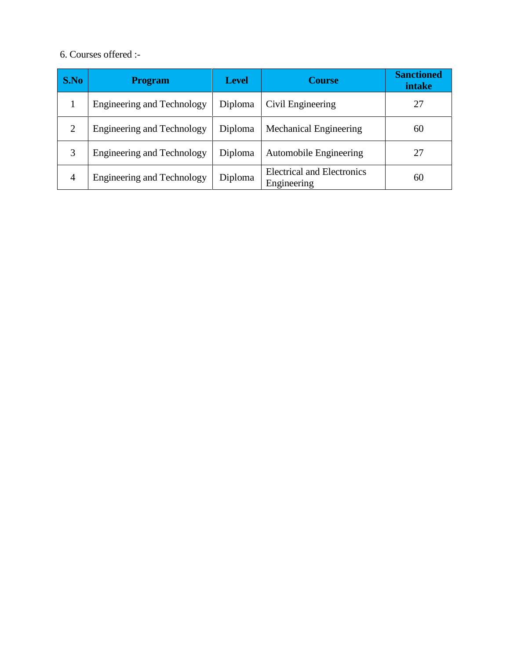#### 6. Courses offered :-

| S.No           | <b>Program</b>                    | <b>Level</b> | <b>Course</b>                                    | <b>Sanctioned</b><br>intake |
|----------------|-----------------------------------|--------------|--------------------------------------------------|-----------------------------|
|                | <b>Engineering and Technology</b> | Diploma      | Civil Engineering                                | 27                          |
| 2              | <b>Engineering and Technology</b> | Diploma      | Mechanical Engineering                           | 60                          |
|                | <b>Engineering and Technology</b> | Diploma      | <b>Automobile Engineering</b>                    | 27                          |
| $\overline{4}$ | <b>Engineering and Technology</b> | Diploma      | <b>Electrical and Electronics</b><br>Engineering | 60                          |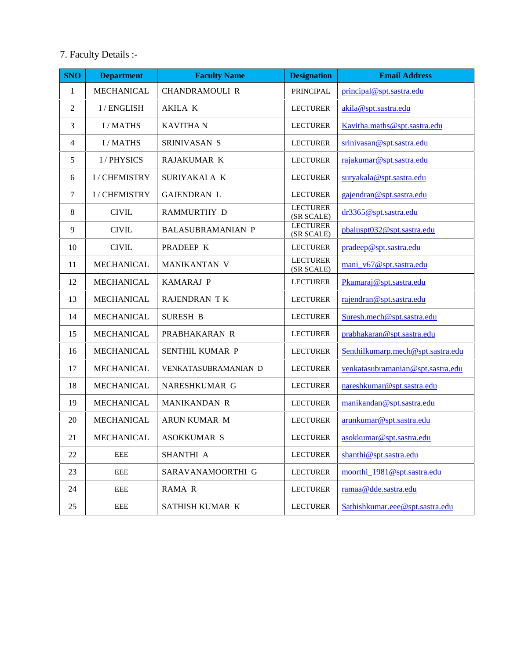#### 7. Faculty Details :-

| <b>SNO</b>       | <b>Department</b> | <b>Designation</b><br><b>Faculty Name</b> |                                                      | <b>Email Address</b>              |  |  |
|------------------|-------------------|-------------------------------------------|------------------------------------------------------|-----------------------------------|--|--|
| $\mathbf{1}$     | MECHANICAL        | <b>CHANDRAMOULI R</b>                     | PRINCIPAL                                            | principal@spt.sastra.edu          |  |  |
| $\overline{2}$   | I / ENGLISH       | <b>AKILA K</b>                            | <b>LECTURER</b>                                      | akila@spt.sastra.edu              |  |  |
| 3                | <b>I/MATHS</b>    | <b>KAVITHAN</b>                           | <b>LECTURER</b>                                      | Kavitha.maths@spt.sastra.edu      |  |  |
| $\overline{4}$   | <b>I/MATHS</b>    | SRINIVASAN S                              | <b>LECTURER</b>                                      | srinivasan@spt.sastra.edu         |  |  |
| 5                | <b>I/PHYSICS</b>  | RAJAKUMAR K                               | <b>LECTURER</b>                                      | rajakumar@spt.sastra.edu          |  |  |
| 6                | I / CHEMISTRY     | SURIYAKALA K                              | <b>LECTURER</b>                                      | suryakala@spt.sastra.edu          |  |  |
| $\boldsymbol{7}$ | I / CHEMISTRY     | <b>GAJENDRAN L</b>                        | <b>LECTURER</b>                                      | gajendran@spt.sastra.edu          |  |  |
| 8                | <b>CIVIL</b>      | <b>RAMMURTHY D</b>                        | <b>LECTURER</b><br>(SR SCALE)                        | dr3365@spt.sastra.edu             |  |  |
| 9                | <b>CIVIL</b>      | <b>BALASUBRAMANIAN P</b>                  | <b>LECTURER</b><br>(SR SCALE)                        | pbaluspt032@spt.sastra.edu        |  |  |
| 10               | <b>CIVIL</b>      | PRADEEP K                                 | <b>LECTURER</b>                                      | pradeep@spt.sastra.edu            |  |  |
| 11               | <b>MECHANICAL</b> | MANIKANTAN V                              | <b>LECTURER</b><br>(SR SCALE)                        | mani_v67@spt.sastra.edu           |  |  |
| 12               | <b>MECHANICAL</b> | <b>KAMARAJ P</b>                          | <b>LECTURER</b>                                      | Pkamaraj@spt.sastra.edu           |  |  |
| 13               | <b>MECHANICAL</b> | <b>RAJENDRAN TK</b>                       | <b>LECTURER</b>                                      | rajendran@spt.sastra.edu          |  |  |
| 14               | <b>MECHANICAL</b> | <b>SURESH B</b>                           | <b>LECTURER</b>                                      | Suresh.mech@spt.sastra.edu        |  |  |
| 15               | <b>MECHANICAL</b> | PRABHAKARAN R                             | <b>LECTURER</b>                                      | prabhakaran@spt.sastra.edu        |  |  |
| 16               | <b>MECHANICAL</b> | SENTHIL KUMAR P                           | <b>LECTURER</b>                                      | Senthilkumarp.mech@spt.sastra.edu |  |  |
| 17               | <b>MECHANICAL</b> | VENKATASUBRAMANIAN D                      | <b>LECTURER</b><br>venkatasubramanian@spt.sastra.edu |                                   |  |  |
| 18               | <b>MECHANICAL</b> | NARESHKUMAR G                             | nareshkumar@spt.sastra.edu<br><b>LECTURER</b>        |                                   |  |  |
| 19               | MECHANICAL        | MANIKANDAN R                              | <b>LECTURER</b>                                      | manikandan@spt.sastra.edu         |  |  |
| 20               | <b>MECHANICAL</b> | ARUN KUMAR M                              | <b>LECTURER</b>                                      | arunkumar@spt.sastra.edu          |  |  |
| 21               | MECHANICAL        | ASOKKUMAR S                               | <b>LECTURER</b>                                      | asokkumar@spt.sastra.edu          |  |  |
| 22               | EEE               | SHANTHI A                                 | <b>LECTURER</b>                                      | shanthi@spt.sastra.edu            |  |  |
| 23               | EEE               | SARAVANAMOORTHI G                         | <b>LECTURER</b>                                      | moorthi_1981@spt.sastra.edu       |  |  |
| 24               | EEE               | RAMA R                                    | <b>LECTURER</b>                                      | ramaa@dde.sastra.edu              |  |  |
| 25               | EEE               | SATHISH KUMAR K                           | <b>LECTURER</b>                                      | Sathishkumar.eee@spt.sastra.edu   |  |  |